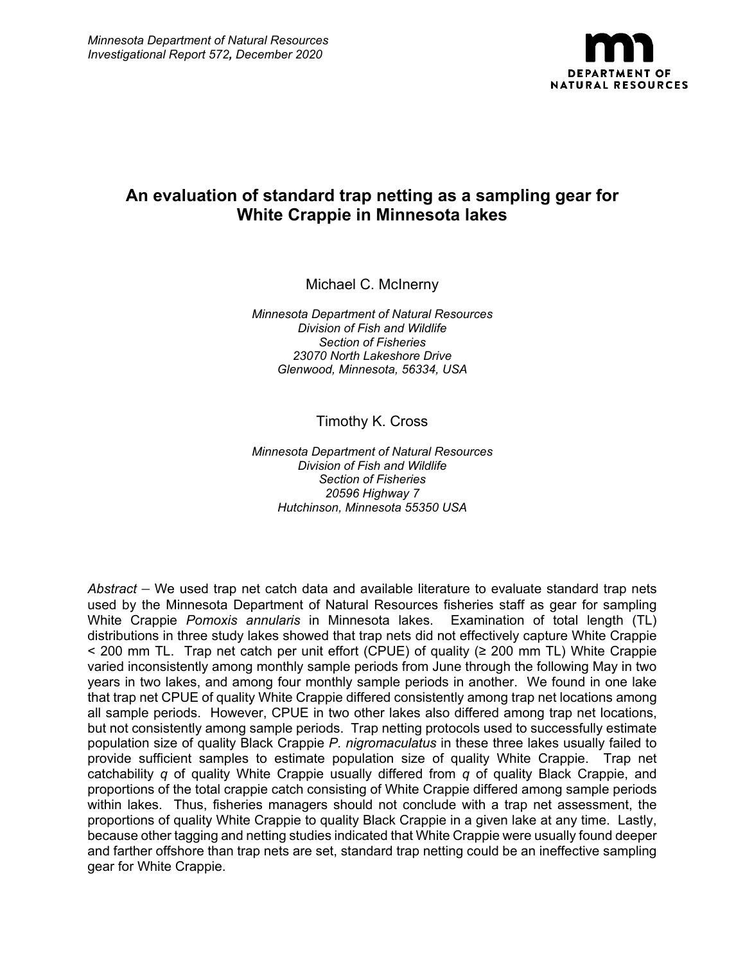

# **An evaluation of standard trap netting as a sampling gear for White Crappie in Minnesota lakes**

Michael C. McInerny

*Minnesota Department of Natural Resources Division of Fish and Wildlife Section of Fisheries 23070 North Lakeshore Drive Glenwood, Minnesota, 56334, USA*

Timothy K. Cross

*Minnesota Department of Natural Resources Division of Fish and Wildlife Section of Fisheries 20596 Highway 7 Hutchinson, Minnesota 55350 USA*

*Abstract –* We used trap net catch data and available literature to evaluate standard trap nets used by the Minnesota Department of Natural Resources fisheries staff as gear for sampling White Crappie *Pomoxis annularis* in Minnesota lakes. Examination of total length (TL) distributions in three study lakes showed that trap nets did not effectively capture White Crappie  $\leq$  200 mm TL. Trap net catch per unit effort (CPUE) of quality ( $\geq$  200 mm TL) White Crappie varied inconsistently among monthly sample periods from June through the following May in two years in two lakes, and among four monthly sample periods in another. We found in one lake that trap net CPUE of quality White Crappie differed consistently among trap net locations among all sample periods. However, CPUE in two other lakes also differed among trap net locations, but not consistently among sample periods. Trap netting protocols used to successfully estimate population size of quality Black Crappie *P. nigromaculatus* in these three lakes usually failed to provide sufficient samples to estimate population size of quality White Crappie. Trap net catchability *q* of quality White Crappie usually differed from *q* of quality Black Crappie, and proportions of the total crappie catch consisting of White Crappie differed among sample periods within lakes. Thus, fisheries managers should not conclude with a trap net assessment, the proportions of quality White Crappie to quality Black Crappie in a given lake at any time. Lastly, because other tagging and netting studies indicated that White Crappie were usually found deeper and farther offshore than trap nets are set, standard trap netting could be an ineffective sampling gear for White Crappie.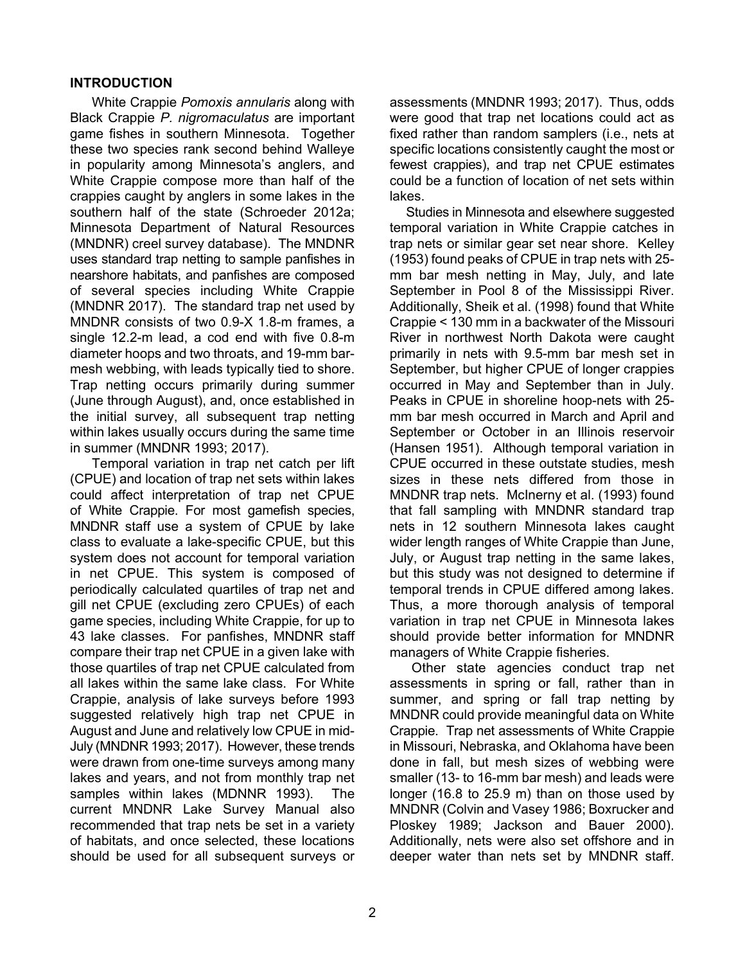#### **INTRODUCTION**

White Crappie *Pomoxis annularis* along with Black Crappie *P. nigromaculatus* are important game fishes in southern Minnesota. Together these two species rank second behind Walleye in popularity among Minnesota's anglers, and White Crappie compose more than half of the crappies caught by anglers in some lakes in the southern half of the state (Schroeder 2012a; Minnesota Department of Natural Resources (MNDNR) creel survey database). The MNDNR uses standard trap netting to sample panfishes in nearshore habitats, and panfishes are composed of several species including White Crappie (MNDNR 2017). The standard trap net used by MNDNR consists of two 0.9-X 1.8-m frames, a single 12.2-m lead, a cod end with five 0.8-m diameter hoops and two throats, and 19-mm barmesh webbing, with leads typically tied to shore. Trap netting occurs primarily during summer (June through August), and, once established in the initial survey, all subsequent trap netting within lakes usually occurs during the same time in summer (MNDNR 1993; 2017).

Temporal variation in trap net catch per lift (CPUE) and location of trap net sets within lakes could affect interpretation of trap net CPUE of White Crappie. For most gamefish species, MNDNR staff use a system of CPUE by lake class to evaluate a lake-specific CPUE, but this system does not account for temporal variation in net CPUE. This system is composed of periodically calculated quartiles of trap net and gill net CPUE (excluding zero CPUEs) of each game species, including White Crappie, for up to 43 lake classes. For panfishes, MNDNR staff compare their trap net CPUE in a given lake with those quartiles of trap net CPUE calculated from all lakes within the same lake class. For White Crappie, analysis of lake surveys before 1993 suggested relatively high trap net CPUE in August and June and relatively low CPUE in mid-July (MNDNR 1993; 2017). However, these trends were drawn from one-time surveys among many lakes and years, and not from monthly trap net samples within lakes (MDNNR 1993). The current MNDNR Lake Survey Manual also recommended that trap nets be set in a variety of habitats, and once selected, these locations should be used for all subsequent surveys or

assessments (MNDNR 1993; 2017). Thus, odds were good that trap net locations could act as fixed rather than random samplers (i.e., nets at specific locations consistently caught the most or fewest crappies), and trap net CPUE estimates could be a function of location of net sets within lakes.

Studies in Minnesota and elsewhere suggested temporal variation in White Crappie catches in trap nets or similar gear set near shore. Kelley (1953) found peaks of CPUE in trap nets with 25 mm bar mesh netting in May, July, and late September in Pool 8 of the Mississippi River. Additionally, Sheik et al. (1998) found that White Crappie < 130 mm in a backwater of the Missouri River in northwest North Dakota were caught primarily in nets with 9.5-mm bar mesh set in September, but higher CPUE of longer crappies occurred in May and September than in July. Peaks in CPUE in shoreline hoop-nets with 25 mm bar mesh occurred in March and April and September or October in an Illinois reservoir (Hansen 1951). Although temporal variation in CPUE occurred in these outstate studies, mesh sizes in these nets differed from those in MNDNR trap nets. McInerny et al. (1993) found that fall sampling with MNDNR standard trap nets in 12 southern Minnesota lakes caught wider length ranges of White Crappie than June, July, or August trap netting in the same lakes, but this study was not designed to determine if temporal trends in CPUE differed among lakes. Thus, a more thorough analysis of temporal variation in trap net CPUE in Minnesota lakes should provide better information for MNDNR managers of White Crappie fisheries.

Other state agencies conduct trap net assessments in spring or fall, rather than in summer, and spring or fall trap netting by MNDNR could provide meaningful data on White Crappie. Trap net assessments of White Crappie in Missouri, Nebraska, and Oklahoma have been done in fall, but mesh sizes of webbing were smaller (13- to 16-mm bar mesh) and leads were longer (16.8 to 25.9 m) than on those used by MNDNR (Colvin and Vasey 1986; Boxrucker and Ploskey 1989; Jackson and Bauer 2000). Additionally, nets were also set offshore and in deeper water than nets set by MNDNR staff.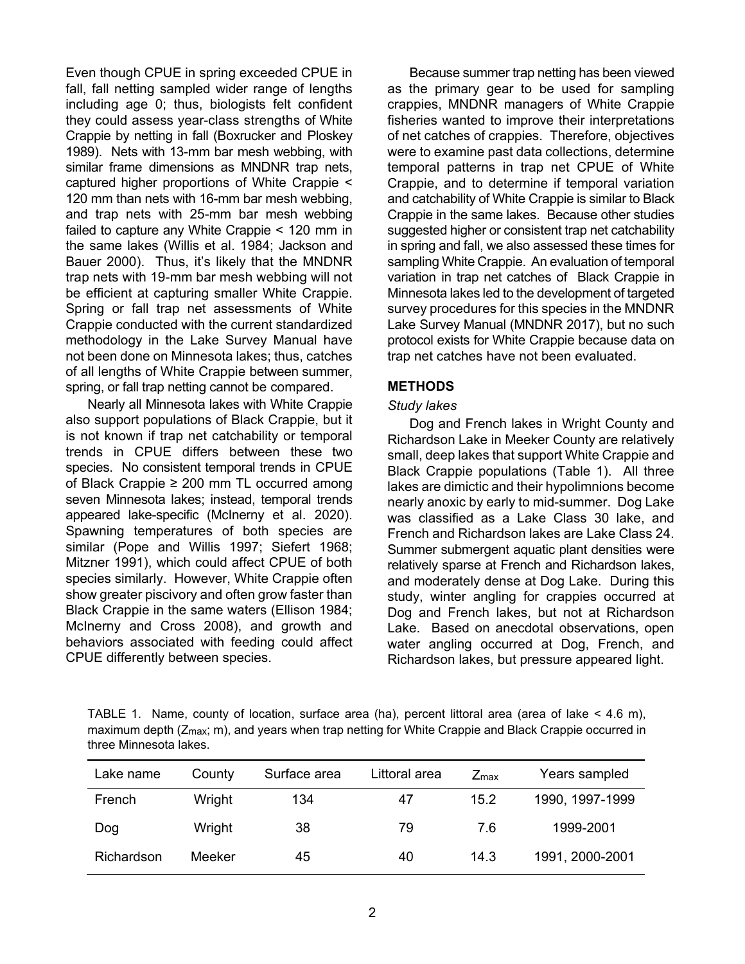Even though CPUE in spring exceeded CPUE in fall, fall netting sampled wider range of lengths including age 0; thus, biologists felt confident they could assess year-class strengths of White Crappie by netting in fall (Boxrucker and Ploskey 1989). Nets with 13-mm bar mesh webbing, with similar frame dimensions as MNDNR trap nets, captured higher proportions of White Crappie < 120 mm than nets with 16-mm bar mesh webbing, and trap nets with 25-mm bar mesh webbing failed to capture any White Crappie < 120 mm in the same lakes (Willis et al. 1984; Jackson and Bauer 2000). Thus, it's likely that the MNDNR trap nets with 19-mm bar mesh webbing will not be efficient at capturing smaller White Crappie. Spring or fall trap net assessments of White Crappie conducted with the current standardized methodology in the Lake Survey Manual have not been done on Minnesota lakes; thus, catches of all lengths of White Crappie between summer, spring, or fall trap netting cannot be compared.

Nearly all Minnesota lakes with White Crappie also support populations of Black Crappie, but it is not known if trap net catchability or temporal trends in CPUE differs between these two species. No consistent temporal trends in CPUE of Black Crappie ≥ 200 mm TL occurred among seven Minnesota lakes; instead, temporal trends appeared lake-specific (McInerny et al. 2020). Spawning temperatures of both species are similar (Pope and Willis 1997; Siefert 1968; Mitzner 1991), which could affect CPUE of both species similarly. However, White Crappie often show greater piscivory and often grow faster than Black Crappie in the same waters (Ellison 1984; McInerny and Cross 2008), and growth and behaviors associated with feeding could affect CPUE differently between species.

Because summer trap netting has been viewed as the primary gear to be used for sampling crappies, MNDNR managers of White Crappie fisheries wanted to improve their interpretations of net catches of crappies. Therefore, objectives were to examine past data collections, determine temporal patterns in trap net CPUE of White Crappie, and to determine if temporal variation and catchability of White Crappie is similar to Black Crappie in the same lakes. Because other studies suggested higher or consistent trap net catchability in spring and fall, we also assessed these times for sampling White Crappie. An evaluation of temporal variation in trap net catches of Black Crappie in Minnesota lakes led to the development of targeted survey procedures for this species in the MNDNR Lake Survey Manual (MNDNR 2017), but no such protocol exists for White Crappie because data on trap net catches have not been evaluated.

#### **METHODS**

#### *Study lakes*

Dog and French lakes in Wright County and Richardson Lake in Meeker County are relatively small, deep lakes that support White Crappie and Black Crappie populations (Table 1). All three lakes are dimictic and their hypolimnions become nearly anoxic by early to mid-summer. Dog Lake was classified as a Lake Class 30 lake, and French and Richardson lakes are Lake Class 24. Summer submergent aquatic plant densities were relatively sparse at French and Richardson lakes, and moderately dense at Dog Lake. During this study, winter angling for crappies occurred at Dog and French lakes, but not at Richardson Lake. Based on anecdotal observations, open water angling occurred at Dog, French, and Richardson lakes, but pressure appeared light.

TABLE 1. Name, county of location, surface area (ha), percent littoral area (area of lake < 4.6 m), maximum depth (Z<sub>max</sub>; m), and years when trap netting for White Crappie and Black Crappie occurred in three Minnesota lakes.

| Lake name  | County | Surface area | Littoral area | $Z$ max | Years sampled   |
|------------|--------|--------------|---------------|---------|-----------------|
| French     | Wright | 134          | 47            | 15.2    | 1990, 1997-1999 |
| Dog        | Wright | 38           | 79            | 7.6     | 1999-2001       |
| Richardson | Meeker | 45           | 40            | 14.3    | 1991, 2000-2001 |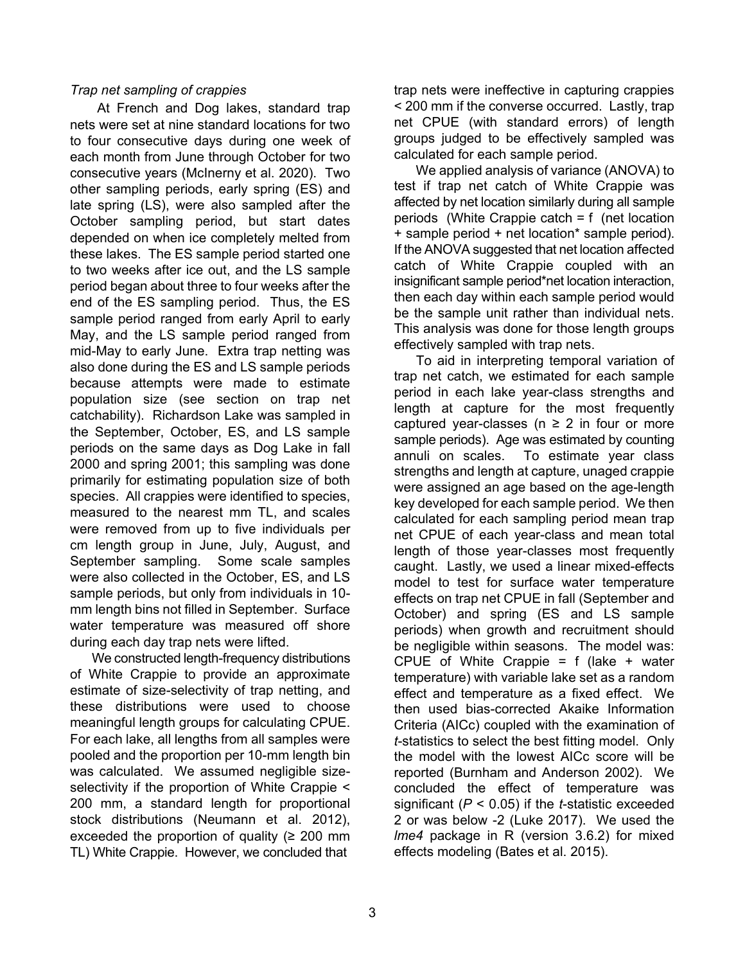## *Trap net sampling of crappies*

At French and Dog lakes, standard trap nets were set at nine standard locations for two to four consecutive days during one week of each month from June through October for two consecutive years (McInerny et al. 2020). Two other sampling periods, early spring (ES) and late spring (LS), were also sampled after the October sampling period, but start dates depended on when ice completely melted from these lakes. The ES sample period started one to two weeks after ice out, and the LS sample period began about three to four weeks after the end of the ES sampling period. Thus, the ES sample period ranged from early April to early May, and the LS sample period ranged from mid-May to early June. Extra trap netting was also done during the ES and LS sample periods because attempts were made to estimate population size (see section on trap net catchability). Richardson Lake was sampled in the September, October, ES, and LS sample periods on the same days as Dog Lake in fall 2000 and spring 2001; this sampling was done primarily for estimating population size of both species. All crappies were identified to species, measured to the nearest mm TL, and scales were removed from up to five individuals per cm length group in June, July, August, and September sampling. Some scale samples were also collected in the October, ES, and LS sample periods, but only from individuals in 10 mm length bins not filled in September. Surface water temperature was measured off shore during each day trap nets were lifted.

We constructed length-frequency distributions of White Crappie to provide an approximate estimate of size-selectivity of trap netting, and these distributions were used to choose meaningful length groups for calculating CPUE. For each lake, all lengths from all samples were pooled and the proportion per 10-mm length bin was calculated. We assumed negligible sizeselectivity if the proportion of White Crappie < 200 mm, a standard length for proportional stock distributions (Neumann et al. 2012), exceeded the proportion of quality ( $\geq 200$  mm TL) White Crappie. However, we concluded that

trap nets were ineffective in capturing crappies < 200 mm if the converse occurred. Lastly, trap net CPUE (with standard errors) of length groups judged to be effectively sampled was calculated for each sample period.

We applied analysis of variance (ANOVA) to test if trap net catch of White Crappie was affected by net location similarly during all sample periods (White Crappie catch = f (net location + sample period + net location\* sample period). If the ANOVA suggested that net location affected catch of White Crappie coupled with an insignificant sample period\*net location interaction, then each day within each sample period would be the sample unit rather than individual nets. This analysis was done for those length groups effectively sampled with trap nets.

To aid in interpreting temporal variation of trap net catch, we estimated for each sample period in each lake year-class strengths and length at capture for the most frequently captured year-classes ( $n \geq 2$  in four or more sample periods). Age was estimated by counting<br>annuli on scales. To estimate year class To estimate year class strengths and length at capture, unaged crappie were assigned an age based on the age-length key developed for each sample period. We then calculated for each sampling period mean trap net CPUE of each year-class and mean total length of those year-classes most frequently caught. Lastly, we used a linear mixed-effects model to test for surface water temperature effects on trap net CPUE in fall (September and October) and spring (ES and LS sample periods) when growth and recruitment should be negligible within seasons. The model was: CPUE of White Crappie =  $f$  (lake + water temperature) with variable lake set as a random effect and temperature as a fixed effect. We then used bias-corrected Akaike Information Criteria (AICc) coupled with the examination of *t*-statistics to select the best fitting model. Only the model with the lowest AICc score will be reported (Burnham and Anderson 2002). We concluded the effect of temperature was significant (*P* < 0.05) if the *t*-statistic exceeded 2 or was below -2 (Luke 2017). We used the *lme4* package in R (version 3.6.2) for mixed effects modeling (Bates et al. 2015).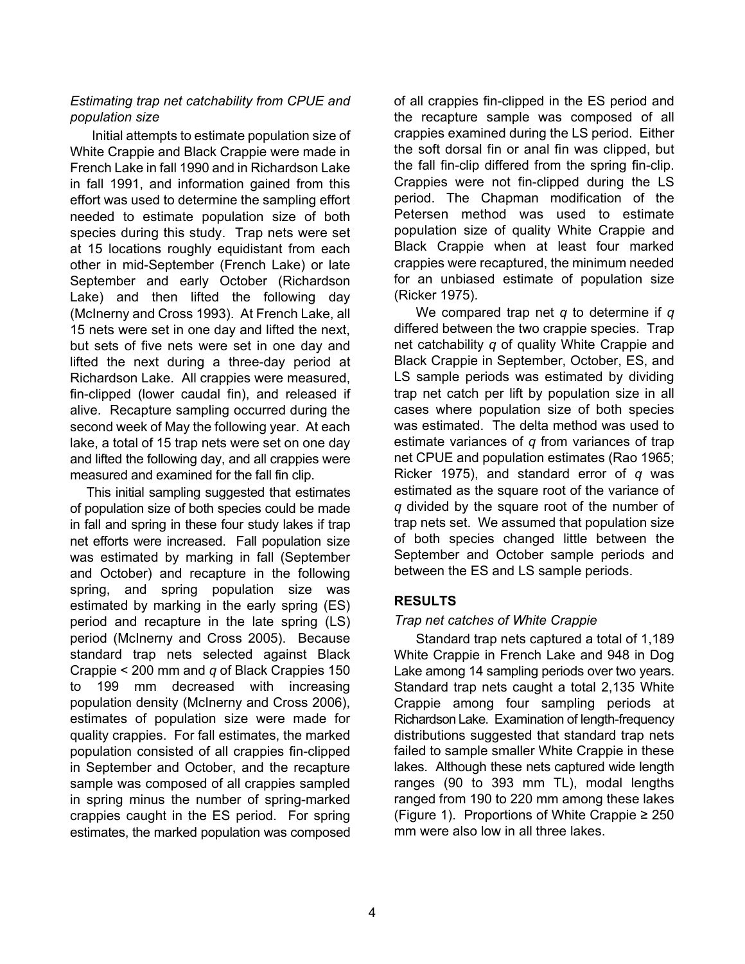## *Estimating trap net catchability from CPUE and population size*

Initial attempts to estimate population size of White Crappie and Black Crappie were made in French Lake in fall 1990 and in Richardson Lake in fall 1991, and information gained from this effort was used to determine the sampling effort needed to estimate population size of both species during this study. Trap nets were set at 15 locations roughly equidistant from each other in mid-September (French Lake) or late September and early October (Richardson Lake) and then lifted the following day (McInerny and Cross 1993). At French Lake, all 15 nets were set in one day and lifted the next, but sets of five nets were set in one day and lifted the next during a three-day period at Richardson Lake. All crappies were measured, fin-clipped (lower caudal fin), and released if alive. Recapture sampling occurred during the second week of May the following year. At each lake, a total of 15 trap nets were set on one day and lifted the following day, and all crappies were measured and examined for the fall fin clip.

This initial sampling suggested that estimates of population size of both species could be made in fall and spring in these four study lakes if trap net efforts were increased. Fall population size was estimated by marking in fall (September and October) and recapture in the following spring, and spring population size was estimated by marking in the early spring (ES) period and recapture in the late spring (LS) period (McInerny and Cross 2005). Because standard trap nets selected against Black Crappie < 200 mm and *q* of Black Crappies 150 to 199 mm decreased with increasing population density (McInerny and Cross 2006), estimates of population size were made for quality crappies. For fall estimates, the marked population consisted of all crappies fin-clipped in September and October, and the recapture sample was composed of all crappies sampled in spring minus the number of spring-marked crappies caught in the ES period. For spring estimates, the marked population was composed

of all crappies fin-clipped in the ES period and the recapture sample was composed of all crappies examined during the LS period. Either the soft dorsal fin or anal fin was clipped, but the fall fin-clip differed from the spring fin-clip. Crappies were not fin-clipped during the LS period. The Chapman modification of the Petersen method was used to estimate population size of quality White Crappie and Black Crappie when at least four marked crappies were recaptured, the minimum needed for an unbiased estimate of population size (Ricker 1975).

We compared trap net *q* to determine if *q* differed between the two crappie species. Trap net catchability *q* of quality White Crappie and Black Crappie in September, October, ES, and LS sample periods was estimated by dividing trap net catch per lift by population size in all cases where population size of both species was estimated. The delta method was used to estimate variances of *q* from variances of trap net CPUE and population estimates (Rao 1965; Ricker 1975), and standard error of *q* was estimated as the square root of the variance of *q* divided by the square root of the number of trap nets set. We assumed that population size of both species changed little between the September and October sample periods and between the ES and LS sample periods.

# **RESULTS**

## *Trap net catches of White Crappie*

Standard trap nets captured a total of 1,189 White Crappie in French Lake and 948 in Dog Lake among 14 sampling periods over two years. Standard trap nets caught a total 2,135 White Crappie among four sampling periods at Richardson Lake. Examination of length-frequency distributions suggested that standard trap nets failed to sample smaller White Crappie in these lakes. Although these nets captured wide length ranges (90 to 393 mm TL), modal lengths ranged from 190 to 220 mm among these lakes (Figure 1). Proportions of White Crappie  $\geq 250$ mm were also low in all three lakes.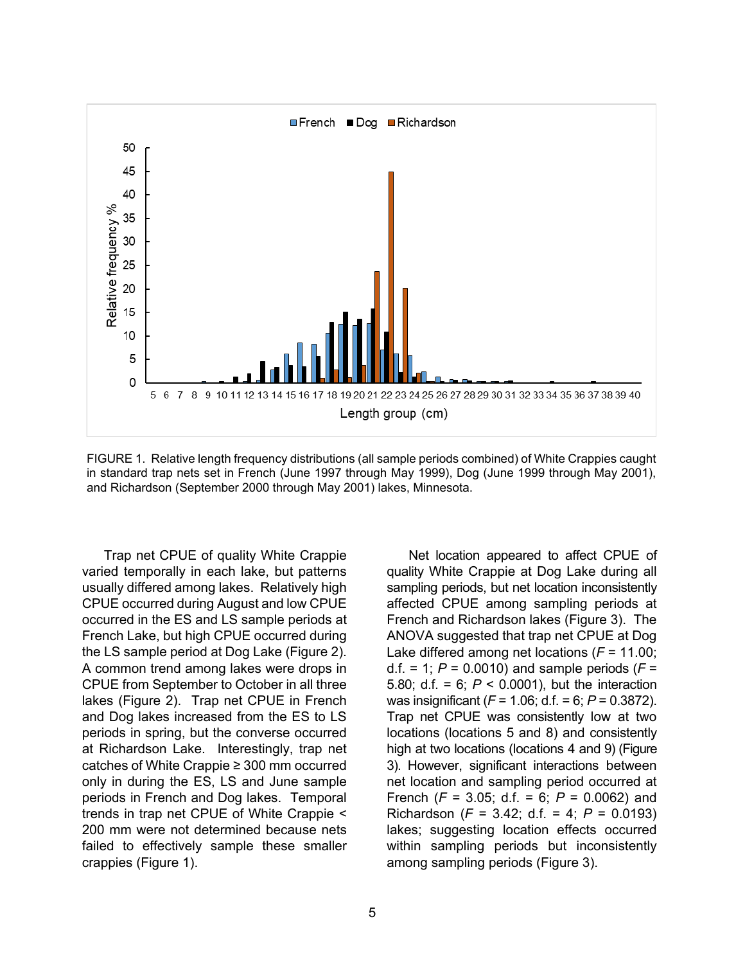

FIGURE 1. Relative length frequency distributions (all sample periods combined) of White Crappies caught in standard trap nets set in French (June 1997 through May 1999), Dog (June 1999 through May 2001), and Richardson (September 2000 through May 2001) lakes, Minnesota.

Trap net CPUE of quality White Crappie varied temporally in each lake, but patterns usually differed among lakes. Relatively high CPUE occurred during August and low CPUE occurred in the ES and LS sample periods at French Lake, but high CPUE occurred during the LS sample period at Dog Lake (Figure 2). A common trend among lakes were drops in CPUE from September to October in all three lakes (Figure 2). Trap net CPUE in French and Dog lakes increased from the ES to LS periods in spring, but the converse occurred at Richardson Lake. Interestingly, trap net catches of White Crappie ≥ 300 mm occurred only in during the ES, LS and June sample periods in French and Dog lakes. Temporal trends in trap net CPUE of White Crappie < 200 mm were not determined because nets failed to effectively sample these smaller crappies (Figure 1).

Net location appeared to affect CPUE of quality White Crappie at Dog Lake during all sampling periods, but net location inconsistently affected CPUE among sampling periods at French and Richardson lakes (Figure 3). The ANOVA suggested that trap net CPUE at Dog Lake differed among net locations (*F* = 11.00; d.f. = 1;  $P = 0.0010$ ) and sample periods ( $F =$ 5.80; d.f. = 6; *P* < 0.0001), but the interaction was insignificant (*F* = 1.06; d.f. = 6; *P* = 0.3872). Trap net CPUE was consistently low at two locations (locations 5 and 8) and consistently high at two locations (locations 4 and 9) (Figure 3). However, significant interactions between net location and sampling period occurred at French (*F* = 3.05; d.f. = 6; *P* = 0.0062) and Richardson (*F* = 3.42; d.f. = 4; *P* = 0.0193) lakes; suggesting location effects occurred within sampling periods but inconsistently among sampling periods (Figure 3).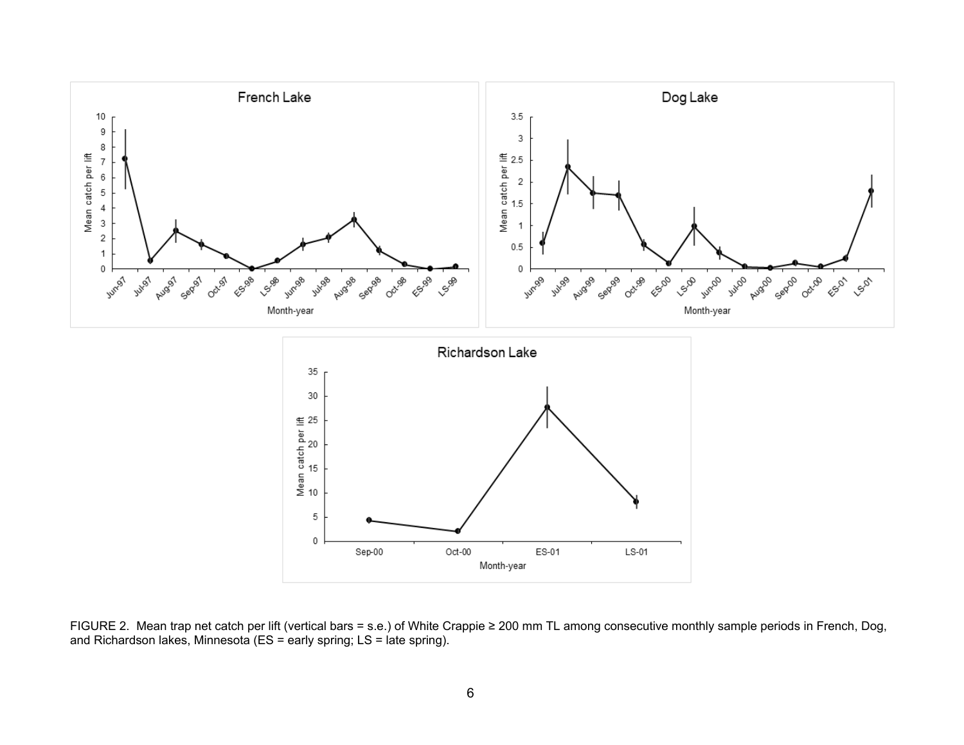

FIGURE 2. Mean trap net catch per lift (vertical bars = s.e.) of White Crappie ≥ 200 mm TL among consecutive monthly sample periods in French, Dog, and Richardson lakes, Minnesota (ES = early spring; LS = late spring).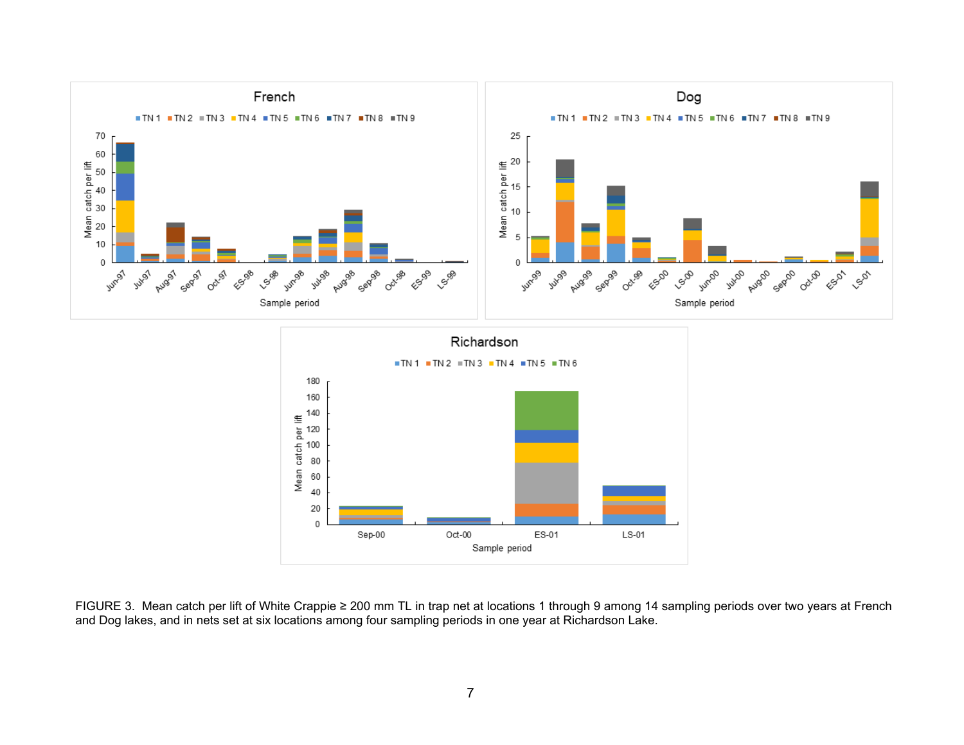



FIGURE 3. Mean catch per lift of White Crappie ≥ 200 mm TL in trap net at locations 1 through 9 among 14 sampling periods over two years at French and Dog lakes, and in nets set at six locations among four sampling periods in one year at Richardson Lake.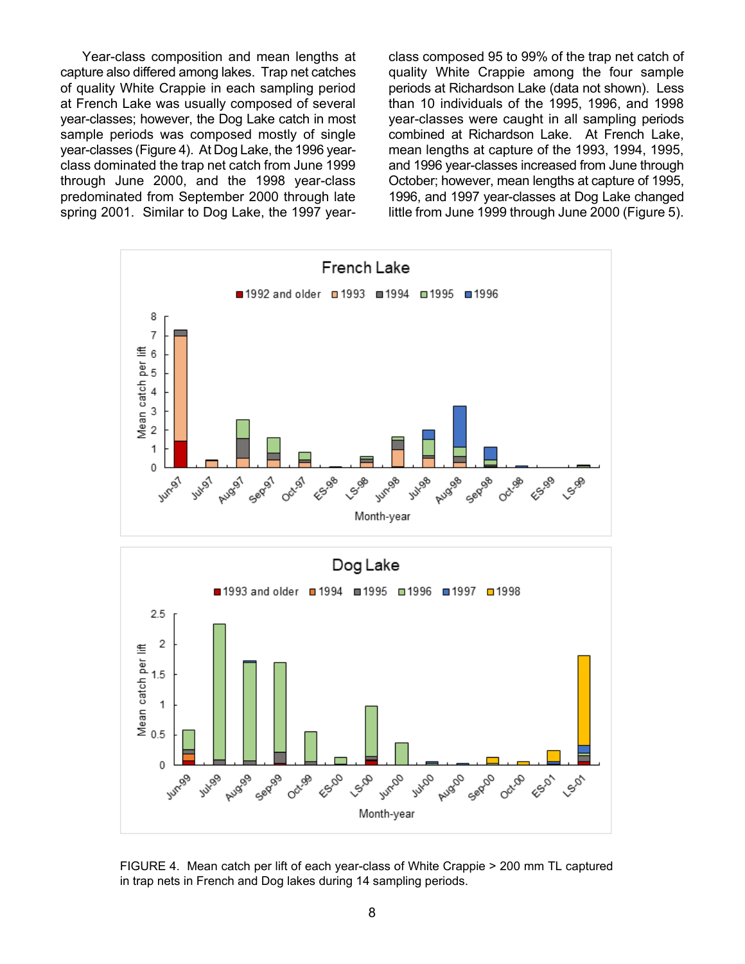Year-class composition and mean lengths at capture also differed among lakes. Trap net catches of quality White Crappie in each sampling period at French Lake was usually composed of several year-classes; however, the Dog Lake catch in most sample periods was composed mostly of single year-classes (Figure 4). At Dog Lake, the 1996 yearclass dominated the trap net catch from June 1999 through June 2000, and the 1998 year-class predominated from September 2000 through late spring 2001. Similar to Dog Lake, the 1997 yearclass composed 95 to 99% of the trap net catch of quality White Crappie among the four sample periods at Richardson Lake (data not shown). Less than 10 individuals of the 1995, 1996, and 1998 year-classes were caught in all sampling periods combined at Richardson Lake. At French Lake, mean lengths at capture of the 1993, 1994, 1995, and 1996 year-classes increased from June through October; however, mean lengths at capture of 1995, 1996, and 1997 year-classes at Dog Lake changed little from June 1999 through June 2000 (Figure 5).



FIGURE 4. Mean catch per lift of each year-class of White Crappie > 200 mm TL captured in trap nets in French and Dog lakes during 14 sampling periods.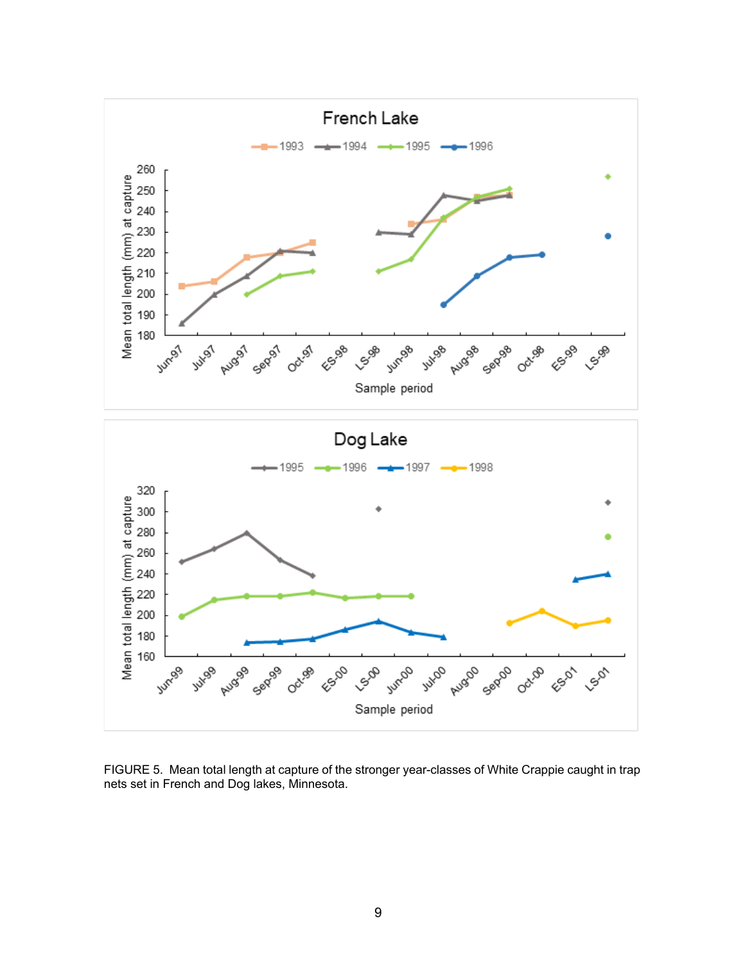

FIGURE 5. Mean total length at capture of the stronger year-classes of White Crappie caught in trap nets set in French and Dog lakes, Minnesota.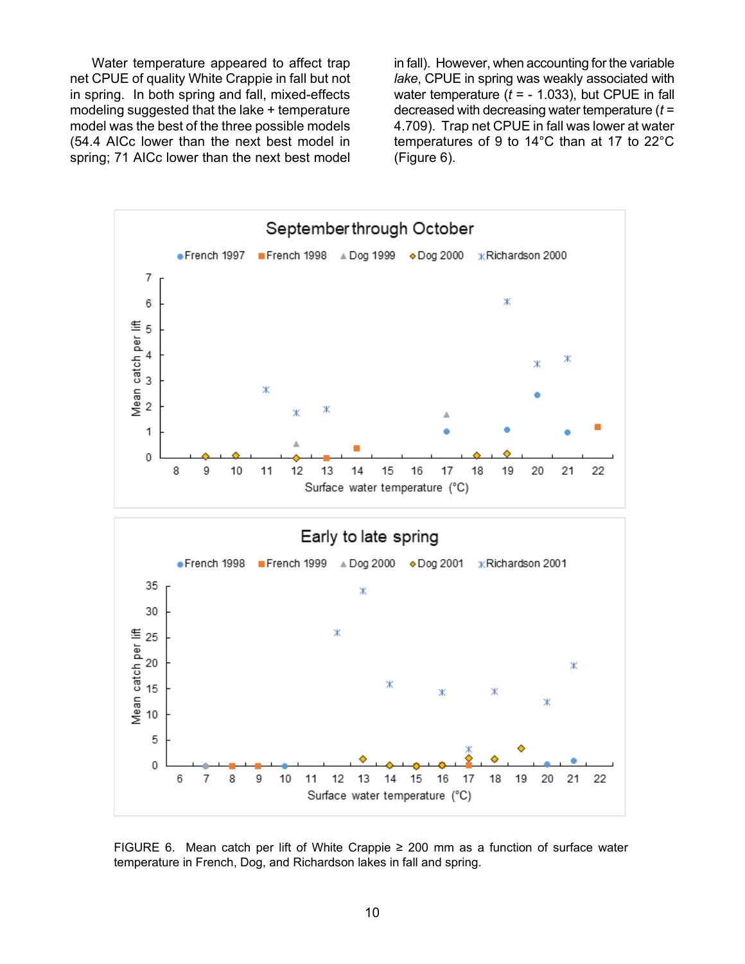Water temperature appeared to affect trap net CPUE of quality White Crappie in fall but not in spring. In both spring and fall, mixed-effects modeling suggested that the lake + temperature model was the best of the three possible models (54.4 AICc lower than the next best model in spring; 71 AICc lower than the next best model

in fall). However, when accounting for the variable *lake*, CPUE in spring was weakly associated with water temperature (*t* = - 1.033), but CPUE in fall decreased with decreasing water temperature (*t* = 4.709). Trap net CPUE in fall was lower at water temperatures of 9 to 14°C than at 17 to 22°C (Figure 6).



FIGURE 6. Mean catch per lift of White Crappie  $\geq$  200 mm as a function of surface water temperature in French, Dog, and Richardson lakes in fall and spring.

Surface water temperature (°C)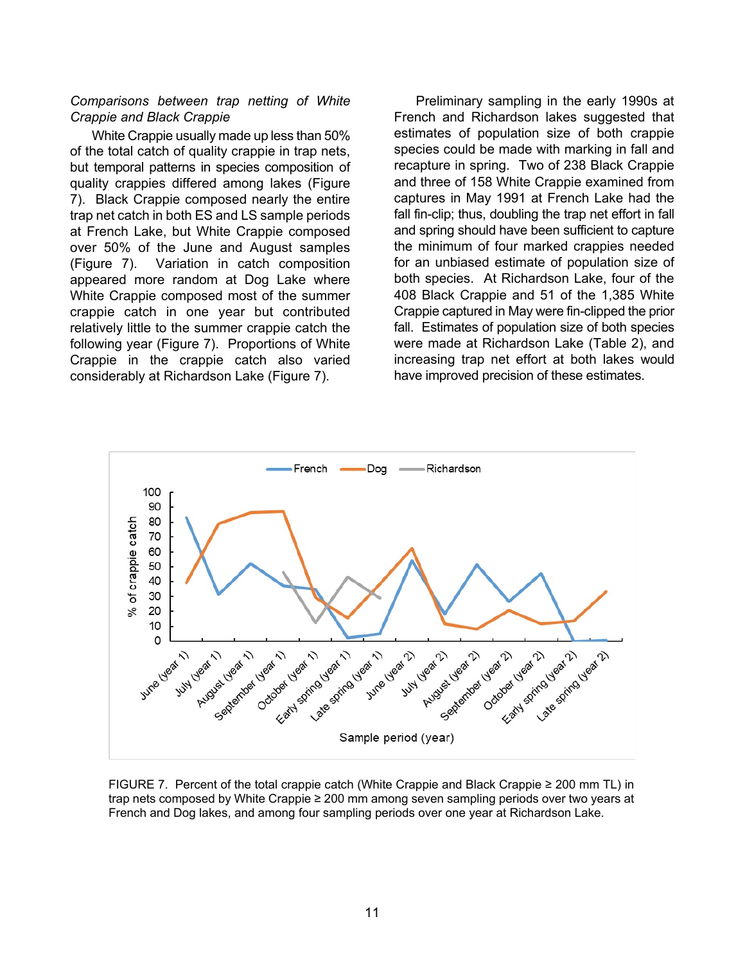#### *Comparisons between trap netting of White Crappie and Black Crappie*

White Crappie usually made up less than 50% of the total catch of quality crappie in trap nets, but temporal patterns in species composition of quality crappies differed among lakes (Figure 7). Black Crappie composed nearly the entire trap net catch in both ES and LS sample periods at French Lake, but White Crappie composed over 50% of the June and August samples (Figure 7). Variation in catch composition appeared more random at Dog Lake where White Crappie composed most of the summer crappie catch in one year but contributed relatively little to the summer crappie catch the following year (Figure 7). Proportions of White Crappie in the crappie catch also varied considerably at Richardson Lake (Figure 7).

Preliminary sampling in the early 1990s at French and Richardson lakes suggested that estimates of population size of both crappie species could be made with marking in fall and recapture in spring. Two of 238 Black Crappie and three of 158 White Crappie examined from captures in May 1991 at French Lake had the fall fin-clip; thus, doubling the trap net effort in fall and spring should have been sufficient to capture the minimum of four marked crappies needed for an unbiased estimate of population size of both species. At Richardson Lake, four of the 408 Black Crappie and 51 of the 1,385 White Crappie captured in May were fin-clipped the prior fall. Estimates of population size of both species were made at Richardson Lake (Table 2), and increasing trap net effort at both lakes would have improved precision of these estimates.



FIGURE 7. Percent of the total crappie catch (White Crappie and Black Crappie ≥ 200 mm TL) in trap nets composed by White Crappie ≥ 200 mm among seven sampling periods over two years at French and Dog lakes, and among four sampling periods over one year at Richardson Lake.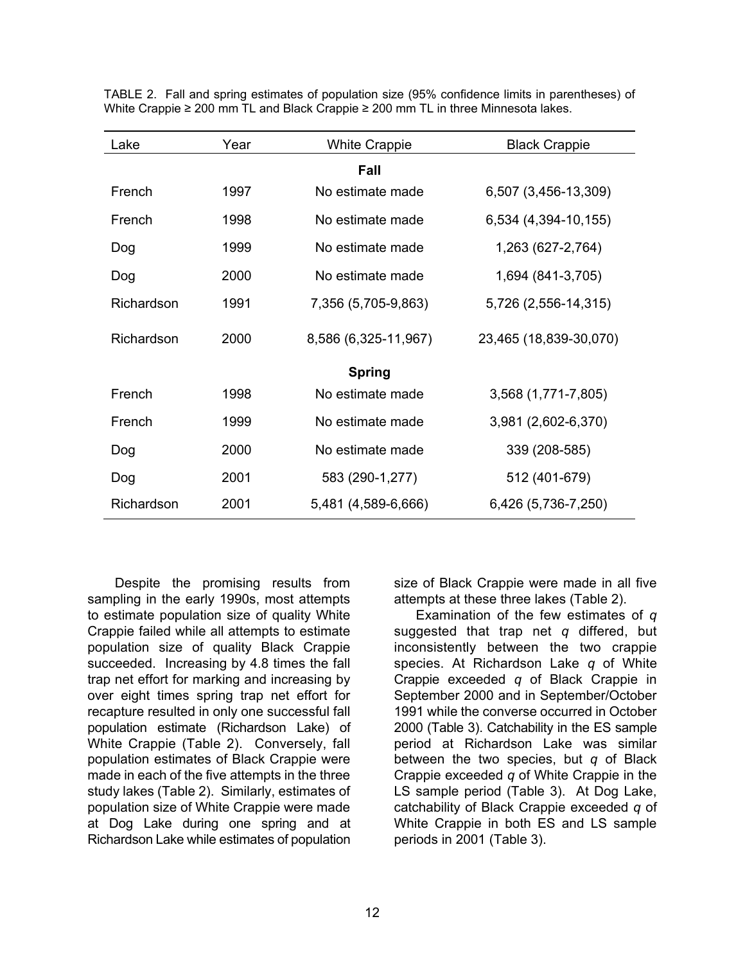| Lake          | Year | <b>White Crappie</b> | <b>Black Crappie</b>   |  |  |  |
|---------------|------|----------------------|------------------------|--|--|--|
| Fall          |      |                      |                        |  |  |  |
| French        | 1997 | No estimate made     | 6,507 (3,456-13,309)   |  |  |  |
| French        | 1998 | No estimate made     | 6,534 (4,394-10,155)   |  |  |  |
| Dog           | 1999 | No estimate made     | 1,263 (627-2,764)      |  |  |  |
| Dog           | 2000 | No estimate made     | 1,694 (841-3,705)      |  |  |  |
| Richardson    | 1991 | 7,356 (5,705-9,863)  | 5,726 (2,556-14,315)   |  |  |  |
| Richardson    | 2000 | 8,586 (6,325-11,967) | 23,465 (18,839-30,070) |  |  |  |
| <b>Spring</b> |      |                      |                        |  |  |  |
| French        | 1998 | No estimate made     | 3,568 (1,771-7,805)    |  |  |  |
| French        | 1999 | No estimate made     | 3,981 (2,602-6,370)    |  |  |  |
| Dog           | 2000 | No estimate made     | 339 (208-585)          |  |  |  |
| Dog           | 2001 | 583 (290-1,277)      | 512 (401-679)          |  |  |  |
| Richardson    | 2001 | 5,481 (4,589-6,666)  | 6,426 (5,736-7,250)    |  |  |  |

TABLE 2. Fall and spring estimates of population size (95% confidence limits in parentheses) of White Crappie ≥ 200 mm TL and Black Crappie ≥ 200 mm TL in three Minnesota lakes.

Despite the promising results from sampling in the early 1990s, most attempts to estimate population size of quality White Crappie failed while all attempts to estimate population size of quality Black Crappie succeeded. Increasing by 4.8 times the fall trap net effort for marking and increasing by over eight times spring trap net effort for recapture resulted in only one successful fall population estimate (Richardson Lake) of White Crappie (Table 2). Conversely, fall population estimates of Black Crappie were made in each of the five attempts in the three study lakes (Table 2). Similarly, estimates of population size of White Crappie were made at Dog Lake during one spring and at Richardson Lake while estimates of population size of Black Crappie were made in all five attempts at these three lakes (Table 2).

Examination of the few estimates of *q* suggested that trap net *q* differed, but inconsistently between the two crappie species. At Richardson Lake *q* of White Crappie exceeded *q* of Black Crappie in September 2000 and in September/October 1991 while the converse occurred in October 2000 (Table 3). Catchability in the ES sample period at Richardson Lake was similar between the two species, but *q* of Black Crappie exceeded *q* of White Crappie in the LS sample period (Table 3). At Dog Lake, catchability of Black Crappie exceeded *q* of White Crappie in both ES and LS sample periods in 2001 (Table 3).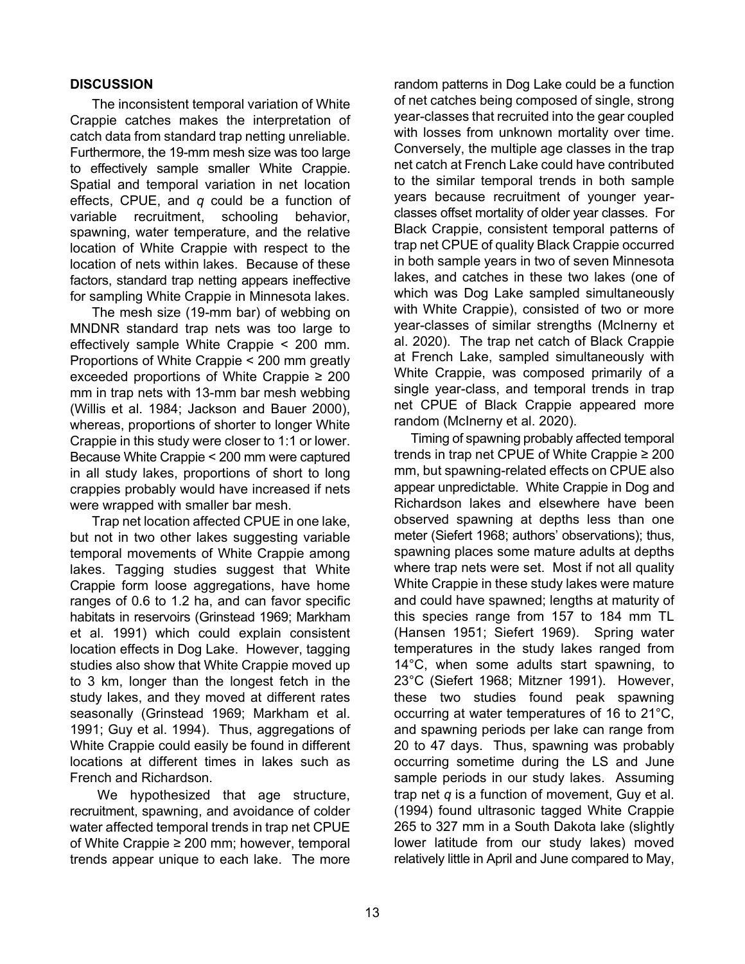# **DISCUSSION**

The inconsistent temporal variation of White Crappie catches makes the interpretation of catch data from standard trap netting unreliable. Furthermore, the 19-mm mesh size was too large to effectively sample smaller White Crappie. Spatial and temporal variation in net location effects, CPUE, and *q* could be a function of variable recruitment, schooling behavior, spawning, water temperature, and the relative location of White Crappie with respect to the location of nets within lakes. Because of these factors, standard trap netting appears ineffective for sampling White Crappie in Minnesota lakes.

The mesh size (19-mm bar) of webbing on MNDNR standard trap nets was too large to effectively sample White Crappie < 200 mm. Proportions of White Crappie < 200 mm greatly exceeded proportions of White Crappie ≥ 200 mm in trap nets with 13-mm bar mesh webbing (Willis et al. 1984; Jackson and Bauer 2000), whereas, proportions of shorter to longer White Crappie in this study were closer to 1:1 or lower. Because White Crappie < 200 mm were captured in all study lakes, proportions of short to long crappies probably would have increased if nets were wrapped with smaller bar mesh.

Trap net location affected CPUE in one lake, but not in two other lakes suggesting variable temporal movements of White Crappie among lakes. Tagging studies suggest that White Crappie form loose aggregations, have home ranges of 0.6 to 1.2 ha, and can favor specific habitats in reservoirs (Grinstead 1969; Markham et al. 1991) which could explain consistent location effects in Dog Lake. However, tagging studies also show that White Crappie moved up to 3 km, longer than the longest fetch in the study lakes, and they moved at different rates seasonally (Grinstead 1969; Markham et al. 1991; Guy et al. 1994). Thus, aggregations of White Crappie could easily be found in different locations at different times in lakes such as French and Richardson.

We hypothesized that age structure, recruitment, spawning, and avoidance of colder water affected temporal trends in trap net CPUE of White Crappie ≥ 200 mm; however, temporal trends appear unique to each lake. The more

random patterns in Dog Lake could be a function of net catches being composed of single, strong year-classes that recruited into the gear coupled with losses from unknown mortality over time. Conversely, the multiple age classes in the trap net catch at French Lake could have contributed to the similar temporal trends in both sample years because recruitment of younger yearclasses offset mortality of older year classes. For Black Crappie, consistent temporal patterns of trap net CPUE of quality Black Crappie occurred in both sample years in two of seven Minnesota lakes, and catches in these two lakes (one of which was Dog Lake sampled simultaneously with White Crappie), consisted of two or more year-classes of similar strengths (McInerny et al. 2020). The trap net catch of Black Crappie at French Lake, sampled simultaneously with White Crappie, was composed primarily of a single year-class, and temporal trends in trap net CPUE of Black Crappie appeared more random (McInerny et al. 2020).

Timing of spawning probably affected temporal trends in trap net CPUE of White Crappie ≥ 200 mm, but spawning-related effects on CPUE also appear unpredictable. White Crappie in Dog and Richardson lakes and elsewhere have been observed spawning at depths less than one meter (Siefert 1968; authors' observations); thus, spawning places some mature adults at depths where trap nets were set. Most if not all quality White Crappie in these study lakes were mature and could have spawned; lengths at maturity of this species range from 157 to 184 mm TL (Hansen 1951; Siefert 1969). Spring water temperatures in the study lakes ranged from 14°C, when some adults start spawning, to 23°C (Siefert 1968; Mitzner 1991). However, these two studies found peak spawning occurring at water temperatures of 16 to 21°C, and spawning periods per lake can range from 20 to 47 days. Thus, spawning was probably occurring sometime during the LS and June sample periods in our study lakes. Assuming trap net *q* is a function of movement, Guy et al. (1994) found ultrasonic tagged White Crappie 265 to 327 mm in a South Dakota lake (slightly lower latitude from our study lakes) moved relatively little in April and June compared to May,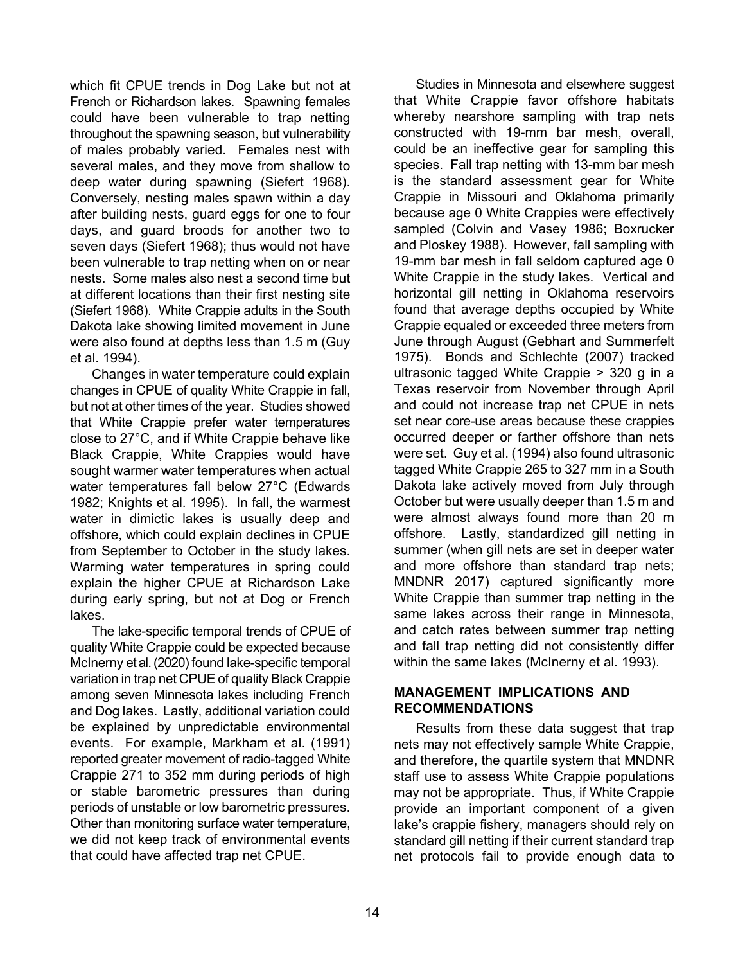which fit CPUE trends in Dog Lake but not at French or Richardson lakes. Spawning females could have been vulnerable to trap netting throughout the spawning season, but vulnerability of males probably varied. Females nest with several males, and they move from shallow to deep water during spawning (Siefert 1968). Conversely, nesting males spawn within a day after building nests, guard eggs for one to four days, and guard broods for another two to seven days (Siefert 1968); thus would not have been vulnerable to trap netting when on or near nests. Some males also nest a second time but at different locations than their first nesting site (Siefert 1968). White Crappie adults in the South Dakota lake showing limited movement in June were also found at depths less than 1.5 m (Guy et al. 1994).

Changes in water temperature could explain changes in CPUE of quality White Crappie in fall, but not at other times of the year. Studies showed that White Crappie prefer water temperatures close to 27°C, and if White Crappie behave like Black Crappie, White Crappies would have sought warmer water temperatures when actual water temperatures fall below 27°C (Edwards 1982; Knights et al. 1995). In fall, the warmest water in dimictic lakes is usually deep and offshore, which could explain declines in CPUE from September to October in the study lakes. Warming water temperatures in spring could explain the higher CPUE at Richardson Lake during early spring, but not at Dog or French lakes.

The lake-specific temporal trends of CPUE of quality White Crappie could be expected because McInerny et al. (2020) found lake-specific temporal variation in trap net CPUE of quality Black Crappie among seven Minnesota lakes including French and Dog lakes. Lastly, additional variation could be explained by unpredictable environmental events. For example, Markham et al. (1991) reported greater movement of radio-tagged White Crappie 271 to 352 mm during periods of high or stable barometric pressures than during periods of unstable or low barometric pressures. Other than monitoring surface water temperature, we did not keep track of environmental events that could have affected trap net CPUE.

Studies in Minnesota and elsewhere suggest that White Crappie favor offshore habitats whereby nearshore sampling with trap nets constructed with 19-mm bar mesh, overall, could be an ineffective gear for sampling this species. Fall trap netting with 13-mm bar mesh is the standard assessment gear for White Crappie in Missouri and Oklahoma primarily because age 0 White Crappies were effectively sampled (Colvin and Vasey 1986; Boxrucker and Ploskey 1988). However, fall sampling with 19-mm bar mesh in fall seldom captured age 0 White Crappie in the study lakes. Vertical and horizontal gill netting in Oklahoma reservoirs found that average depths occupied by White Crappie equaled or exceeded three meters from June through August (Gebhart and Summerfelt 1975). Bonds and Schlechte (2007) tracked ultrasonic tagged White Crappie > 320 g in a Texas reservoir from November through April and could not increase trap net CPUE in nets set near core-use areas because these crappies occurred deeper or farther offshore than nets were set. Guy et al. (1994) also found ultrasonic tagged White Crappie 265 to 327 mm in a South Dakota lake actively moved from July through October but were usually deeper than 1.5 m and were almost always found more than 20 m offshore. Lastly, standardized gill netting in summer (when gill nets are set in deeper water and more offshore than standard trap nets; MNDNR 2017) captured significantly more White Crappie than summer trap netting in the same lakes across their range in Minnesota, and catch rates between summer trap netting and fall trap netting did not consistently differ within the same lakes (McInerny et al. 1993).

## **MANAGEMENT IMPLICATIONS AND RECOMMENDATIONS**

Results from these data suggest that trap nets may not effectively sample White Crappie, and therefore, the quartile system that MNDNR staff use to assess White Crappie populations may not be appropriate. Thus, if White Crappie provide an important component of a given lake's crappie fishery, managers should rely on standard gill netting if their current standard trap net protocols fail to provide enough data to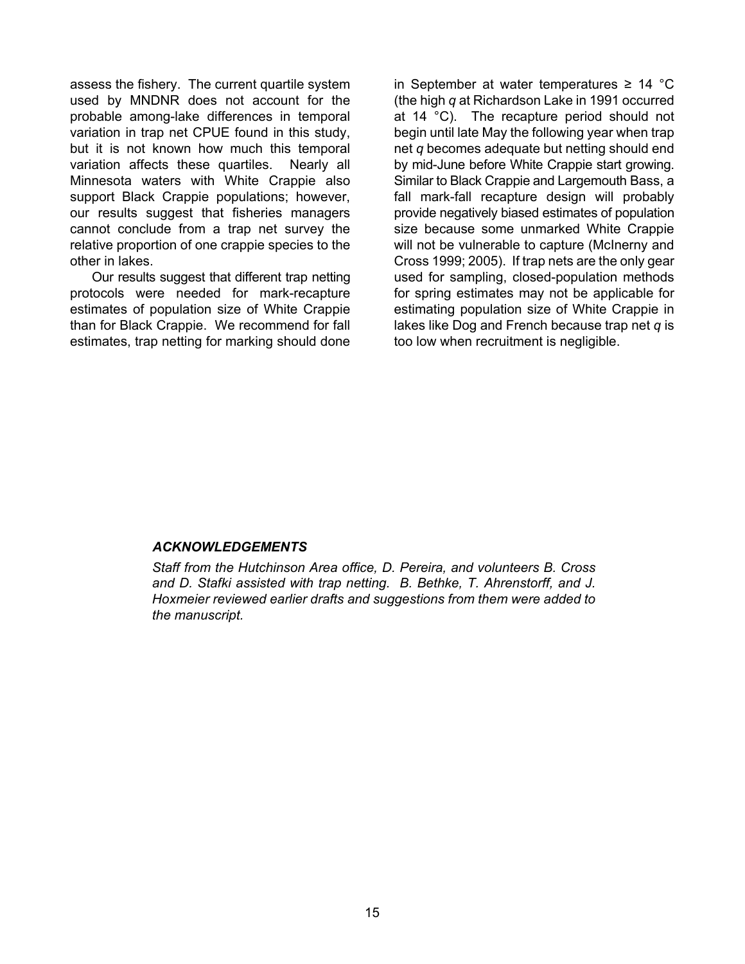assess the fishery. The current quartile system used by MNDNR does not account for the probable among-lake differences in temporal variation in trap net CPUE found in this study, but it is not known how much this temporal variation affects these quartiles. Nearly all Minnesota waters with White Crappie also support Black Crappie populations; however, our results suggest that fisheries managers cannot conclude from a trap net survey the relative proportion of one crappie species to the other in lakes.

Our results suggest that different trap netting protocols were needed for mark-recapture estimates of population size of White Crappie than for Black Crappie. We recommend for fall estimates, trap netting for marking should done

in September at water temperatures ≥ 14 °C (the high *q* at Richardson Lake in 1991 occurred at 14 °C). The recapture period should not begin until late May the following year when trap net *q* becomes adequate but netting should end by mid-June before White Crappie start growing. Similar to Black Crappie and Largemouth Bass, a fall mark-fall recapture design will probably provide negatively biased estimates of population size because some unmarked White Crappie will not be vulnerable to capture (McInerny and Cross 1999; 2005). If trap nets are the only gear used for sampling, closed-population methods for spring estimates may not be applicable for estimating population size of White Crappie in lakes like Dog and French because trap net *q* is too low when recruitment is negligible.

#### *ACKNOWLEDGEMENTS*

*Staff from the Hutchinson Area office, D. Pereira, and volunteers B. Cross and D. Stafki assisted with trap netting. B. Bethke, T. Ahrenstorff, and J. Hoxmeier reviewed earlier drafts and suggestions from them were added to the manuscript.*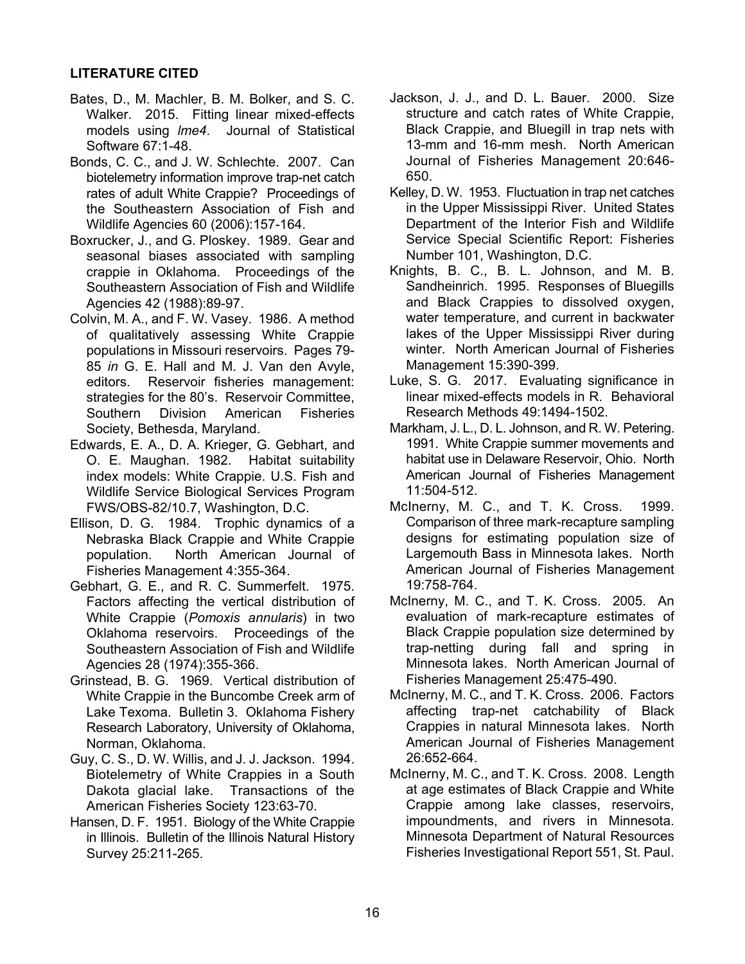# **LITERATURE CITED**

- Bates, D., M. Machler, B. M. Bolker, and S. C. Walker. 2015. Fitting linear mixed-effects models using *lme4*. Journal of Statistical Software 67:1-48.
- Bonds, C. C., and J. W. Schlechte. 2007. Can biotelemetry information improve trap-net catch rates of adult White Crappie? Proceedings of the Southeastern Association of Fish and Wildlife Agencies 60 (2006):157-164.
- Boxrucker, J., and G. Ploskey. 1989. Gear and seasonal biases associated with sampling crappie in Oklahoma. Proceedings of the Southeastern Association of Fish and Wildlife Agencies 42 (1988):89-97.
- Colvin, M. A., and F. W. Vasey. 1986. A method of qualitatively assessing White Crappie populations in Missouri reservoirs. Pages 79- 85 *in* G. E. Hall and M. J. Van den Avyle, editors. Reservoir fisheries management: strategies for the 80's. Reservoir Committee, Southern Division American Fisheries Society, Bethesda, Maryland.
- Edwards, E. A., D. A. Krieger, G. Gebhart, and O. E. Maughan. 1982. Habitat suitability index models: White Crappie. U.S. Fish and Wildlife Service Biological Services Program FWS/OBS-82/10.7, Washington, D.C.
- Ellison, D. G. 1984. Trophic dynamics of a Nebraska Black Crappie and White Crappie population. North American Journal of Fisheries Management 4:355-364.
- Gebhart, G. E., and R. C. Summerfelt. 1975. Factors affecting the vertical distribution of White Crappie (*Pomoxis annularis*) in two Oklahoma reservoirs. Proceedings of the Southeastern Association of Fish and Wildlife Agencies 28 (1974):355-366.
- Grinstead, B. G. 1969. Vertical distribution of White Crappie in the Buncombe Creek arm of Lake Texoma. Bulletin 3. Oklahoma Fishery Research Laboratory, University of Oklahoma, Norman, Oklahoma.
- Guy, C. S., D. W. Willis, and J. J. Jackson. 1994. Biotelemetry of White Crappies in a South Dakota glacial lake. Transactions of the American Fisheries Society 123:63-70.
- Hansen, D. F. 1951. Biology of the White Crappie in Illinois. Bulletin of the Illinois Natural History Survey 25:211-265.
- Jackson, J. J., and D. L. Bauer. 2000. Size structure and catch rates of White Crappie, Black Crappie, and Bluegill in trap nets with 13-mm and 16-mm mesh. North American Journal of Fisheries Management 20:646- 650.
- Kelley, D. W. 1953. Fluctuation in trap net catches in the Upper Mississippi River. United States Department of the Interior Fish and Wildlife Service Special Scientific Report: Fisheries Number 101, Washington, D.C.
- Knights, B. C., B. L. Johnson, and M. B. Sandheinrich. 1995. Responses of Bluegills and Black Crappies to dissolved oxygen, water temperature, and current in backwater lakes of the Upper Mississippi River during winter. North American Journal of Fisheries Management 15:390-399.
- Luke, S. G. 2017. Evaluating significance in linear mixed-effects models in R. Behavioral Research Methods 49:1494-1502.
- Markham, J. L., D. L. Johnson, and R. W. Petering. 1991. White Crappie summer movements and habitat use in Delaware Reservoir, Ohio. North American Journal of Fisheries Management 11:504-512.
- McInerny, M. C., and T. K. Cross. 1999. Comparison of three mark-recapture sampling designs for estimating population size of Largemouth Bass in Minnesota lakes. North American Journal of Fisheries Management 19:758-764.
- McInerny, M. C., and T. K. Cross. 2005. An evaluation of mark-recapture estimates of Black Crappie population size determined by trap-netting during fall and spring in Minnesota lakes. North American Journal of Fisheries Management 25:475-490.
- McInerny, M. C., and T. K. Cross. 2006. Factors affecting trap-net catchability of Black Crappies in natural Minnesota lakes. North American Journal of Fisheries Management 26:652-664.
- McInerny, M. C., and T. K. Cross. 2008. Length at age estimates of Black Crappie and White Crappie among lake classes, reservoirs, impoundments, and rivers in Minnesota. Minnesota Department of Natural Resources Fisheries Investigational Report 551, St. Paul.